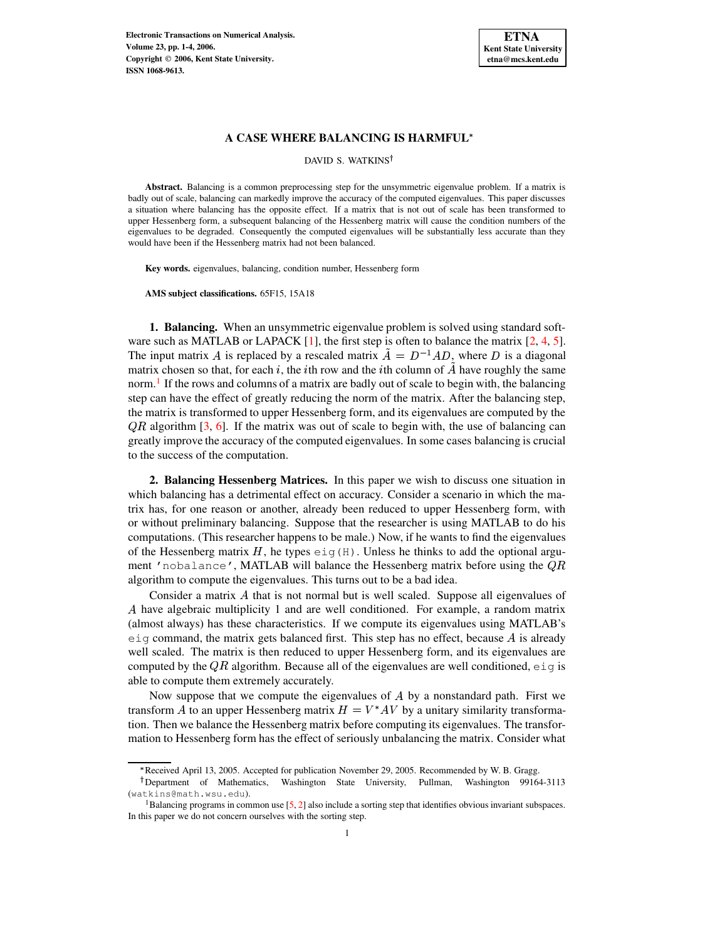

## **A CASE WHERE BALANCING IS HARMFUL**

#### DAVID S. WATKINS<sup>†</sup>

**Abstract.** Balancing is a common preprocessing step for the unsymmetric eigenvalue problem. If a matrix is badly out of scale, balancing can markedly improve the accuracy of the computed eigenvalues. This paper discusses a situation where balancing has the opposite effect. If a matrix that is not out of scale has been transformed to upper Hessenberg form, a subsequent balancing of the Hessenberg matrix will cause the condition numbers of the eigenvalues to be degraded. Consequently the computed eigenvalues will be substantially less accurate than they would have been if the Hessenberg matrix had not been balanced.

**Key words.** eigenvalues, balancing, condition number, Hessenberg form

**AMS subject classifications.** 65F15, 15A18

**1. Balancing.** When an unsymmetric eigenvalue problem is solved using standard software such as MATLAB or LAPACK  $[1]$ , the first step is often to balance the matrix  $[2, 4, 5]$  $[2, 4, 5]$  $[2, 4, 5]$  $[2, 4, 5]$  $[2, 4, 5]$ . The input matrix A is replaced by a rescaled matrix  $\tilde{A} = D^{-1}AD$ , where D is a diagonal matrix chosen so that, for each  $i$ , the *i*th row and the *i*th column of  $A$  have roughly the same norm.<sup>[1](#page-0-0)</sup> If the rows and columns of a matrix are badly out of scale to begin with, the balancing step can have the effect of greatly reducing the norm of the matrix. After the balancing step, the matrix is transformed to upper Hessenberg form, and its eigenvalues are computed by the  $QR$  algorithm [\[3,](#page-3-4) [6\]](#page-3-5). If the matrix was out of scale to begin with, the use of balancing can greatly improve the accuracy of the computed eigenvalues. In some cases balancing is crucial to the success of the computation.

**2. Balancing Hessenberg Matrices.** In this paper we wish to discuss one situation in which balancing has a detrimental effect on accuracy. Consider a scenario in which the matrix has, for one reason or another, already been reduced to upper Hessenberg form, with or without preliminary balancing. Suppose that the researcher is using MATLAB to do his computations. (This researcher happens to be male.) Now, if he wants to find the eigenvalues of the Hessenberg matrix H, he types  $eig(H)$ . Unless he thinks to add the optional argument 'nobalance', MATLAB will balance the Hessenberg matrix before using the  $QR$ algorithm to compute the eigenvalues. This turns out to be a bad idea.

Consider a matrix  $A$  that is not normal but is well scaled. Suppose all eigenvalues of - have algebraic multiplicity 1 and are well conditioned. For example, a random matrix (almost always) has these characteristics. If we compute its eigenvalues using MATLAB's  $e$ ig command, the matrix gets balanced first. This step has no effect, because  $A$  is already well scaled. The matrix is then reduced to upper Hessenberg form, and its eigenvalues are computed by the  $QR$  algorithm. Because all of the eigenvalues are well conditioned,  $e \text{ i } q$  is able to compute them extremely accurately.

Now suppose that we compute the eigenvalues of  $A$  by a nonstandard path. First we transform A to an upper Hessenberg matrix  $H = V^*AV$  by a unitary similarity transformation. Then we balance the Hessenberg matrix before computing its eigenvalues. The transformation to Hessenberg form has the effect of seriously unbalancing the matrix. Consider what

<sup>\*</sup> Received April 13, 2005. Accepted for publication November 29, 2005. Recommended by W. B. Gragg.

Department of Mathematics, Washington State University, Pullman, Washington 99164-3113 (watkins@math.wsu.edu).

<span id="page-0-0"></span><sup>&</sup>lt;sup>1</sup>Balancing programs in common use  $[5, 2]$  $[5, 2]$  $[5, 2]$  also include a sorting step that identifies obvious invariant subspaces. In this paper we do not concern ourselves with the sorting step.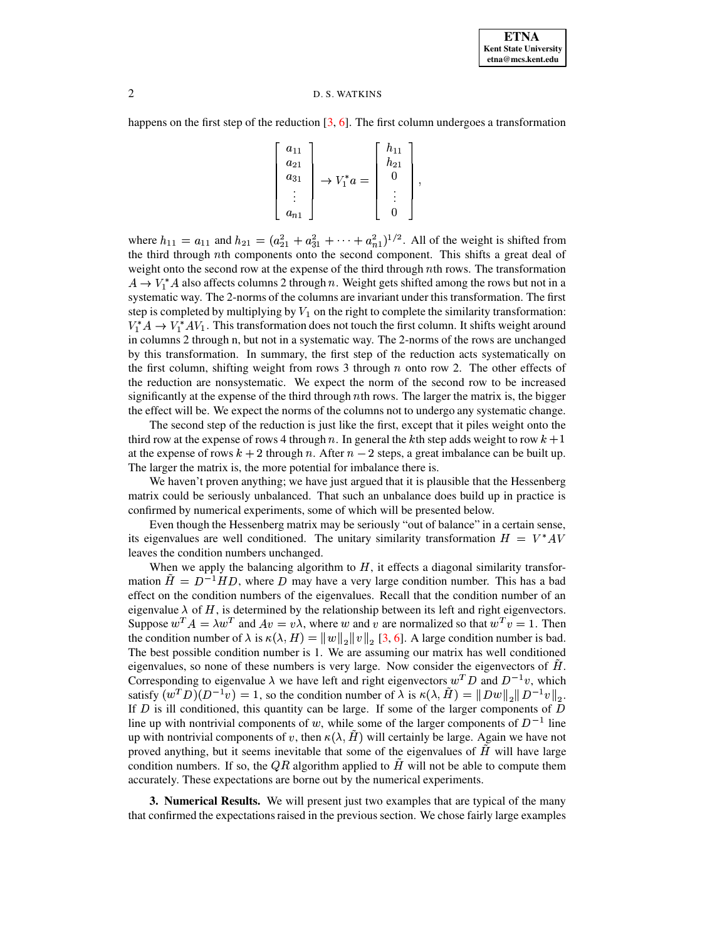# 2 D. S. WATKINS

happens on the first step of the reduction  $[3, 6]$  $[3, 6]$  $[3, 6]$ . The first column undergoes a transformation

$$
\begin{bmatrix} a_{11} \\ a_{21} \\ a_{31} \\ \vdots \\ a_{n1} \end{bmatrix} \rightarrow V_1^* a = \begin{bmatrix} h_{11} \\ h_{21} \\ 0 \\ \vdots \\ 0 \end{bmatrix},
$$

where  $h_{11} = a_{11}$  and  $h_{21} = (a_{21}^2 + a_{31}^2 + \cdots + a_{n1}^2)^{1/2}$ . All of the weight is shifted from the third through nth components onto the second component. This shifts a great deal of weight onto the second row at the expense of the third through  $n$ th rows. The transformation  $A \to V_1^*A$  also affects columns 2 through n. Weight gets shifted among the rows but not in a systematic way. The 2-norms of the columns are invariant under this transformation. The first step is completed by multiplying by  $V_1$  on the right to complete the similarity transformation:  $V_1^*A \to V_1^*AV_1$ . This transformation does not touch the first column. It shifts weight around in columns 2 through n, but not in a systematic way. The 2-norms of the rows are unchanged by this transformation. In summary, the first step of the reduction acts systematically on the first column, shifting weight from rows 3 through  $n$  onto row 2. The other effects of the reduction are nonsystematic. We expect the norm of the second row to be increased significantly at the expense of the third through *th rows. The larger the matrix is, the bigger* the effect will be. We expect the norms of the columns not to undergo any systematic change.

The second step of the reduction is just like the first, except that it piles weight onto the third row at the expense of rows 4 through n. In general the kth step adds weight to row  $k + 1$ at the expense of rows  $k + 2$  through n. After  $n - 2$  steps, a great imbalance can be built up. The larger the matrix is, the more potential for imbalance there is.

We haven't proven anything; we have just argued that it is plausible that the Hessenberg matrix could be seriously unbalanced. That such an unbalance does build up in practice is confirmed by numerical experiments, some of which will be presented below.

Even though the Hessenberg matrix may be seriously "out of balance" in a certain sense, its eigenvalues are well conditioned. The unitary similarity transformation  $H = V^*AV$ leaves the condition numbers unchanged.

When we apply the balancing algorithm to  $H$ , it effects a diagonal similarity transformation  $\tilde{H} = D^{-1}HD$ , where D may have a very large condition number. This has a bad effect on the condition numbers of the eigenvalues. Recall that the condition number of an eigenvalue  $\lambda$  of H, is determined by the relationship between its left and right eigenvectors. Suppose  $w^T A = \lambda w^T$  and  $Av = v\lambda$ , where w and v are normalized so that  $w^T v = 1$ . Then the condition number of  $\lambda$  is  $\kappa(\lambda, H) = ||w||_2 ||v||_2 [3, 6]$  $\kappa(\lambda, H) = ||w||_2 ||v||_2 [3, 6]$  $\kappa(\lambda, H) = ||w||_2 ||v||_2 [3, 6]$  $\kappa(\lambda, H) = ||w||_2 ||v||_2 [3, 6]$ . A large condition number is bad. the condition number of  $\lambda$  is  $\kappa(\lambda, H) = ||w||_2 ||v||_2 [3, 6]$ . A large condition number is bad.<br>The best possible condition number is 1. We are assuming our matrix has well conditioned eigenvalues, so none of these numbers is very large. Now consider the eigenvectors of  $\hat{H}$ . Corresponding to eigenvalue  $\lambda$  we have left and right eigenvectors  $w^T D$  and  $D^{-1}v$ , which satisfy  $(w^T D)(D^{-1} v) = 1$ , so the condition number of  $\lambda$  is  $\kappa(\lambda, H) = ||L||$  $\tilde{H}$ ) =  $||Dw||_2 ||D^{-1}v||_2$ .<br>
e larger components of D If  $D$  is ill conditioned, this quantity can be large. If some of the larger components of  $D$ line up with nontrivial components of w, while some of the larger components of  $D^{-1}$  line up with nontrivial components of v, then  $\kappa(\lambda, H)$  will components  $\tilde{H}$ ) will certainly be large. Again we have not some of the eigenvalues of  $\tilde{H}$  will have large proved anything, but it seems inevitable that some of the eigenvalues of  $H$  will have large condition numbers. If so, the  $QR$  algorithm applied to H will not be able to compute them accurately. These expectations are borne out by the numerical experiments.

**3. Numerical Results.** We will present just two examples that are typical of the many that confirmed the expectations raised in the previous section. We chose fairly large examples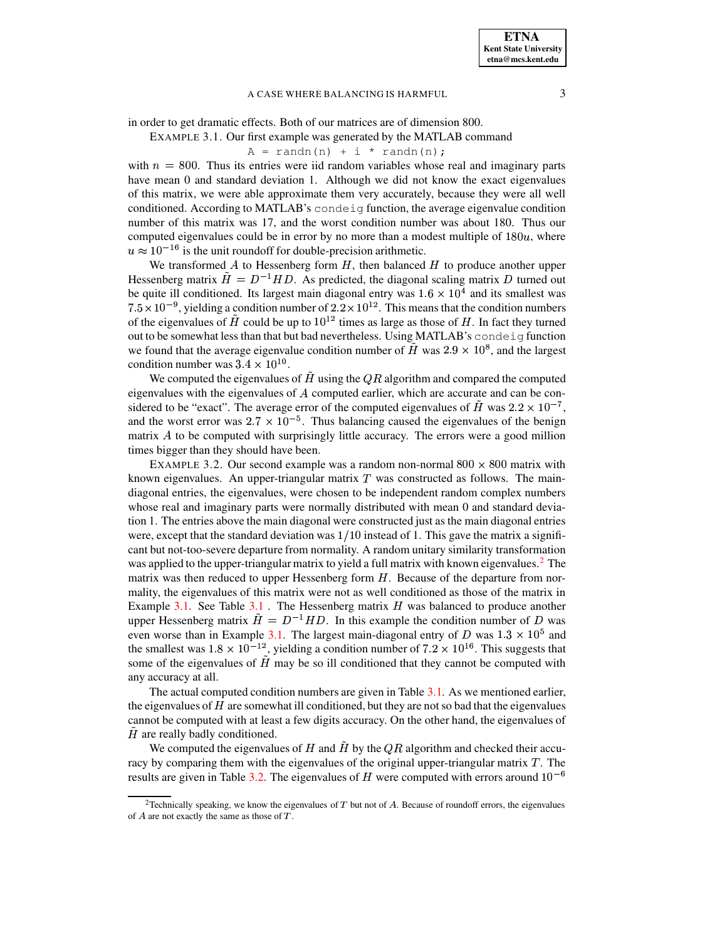## A CASE WHERE BALANCING IS HARMFUL 3

<span id="page-2-1"></span>in order to get dramatic effects. Both of our matrices are of dimension 800.

EXAMPLE 3.1. Our first example was generated by the MATLAB command

$$
A = randn(n) + i * randn(n);
$$

with  $n = 800$ . Thus its entries were iid random variables whose real and imaginary parts have mean 0 and standard deviation 1. Although we did not know the exact eigenvalues of this matrix, we were able approximate them very accurately, because they were all well conditioned. According to MATLAB's condeig function, the average eigenvalue condition number of this matrix was 17, and the worst condition number was about 180. Thus our computed eigenvalues could be in error by no more than a modest multiple of  $180u$ , where  $u \approx 10^{-16}$  is the unit roundoff for double-precision arithmetic.

We transformed  $A$  to Hessenberg form  $H$ , then balanced  $H$  to produce another upper Hessenberg matrix  $\tilde{H} = D^{-1}HD$ . As predicted, the diagonal scaling matrix D turned out be quite ill conditioned. Its largest main diagonal entry was  $1.6 \times 10^4$  and its smallest was  $7.5 \times 10^{-9}$ , yielding a condition number of  $2.2 \times 10^{12}$ . This means that the condition numbers of the eigenvalues of  $\tilde{H}$  could be up to  $10^{12}$  times as large as those of H. In fact they turned out to be somewhat less than that but bad nevertheless. Using MATLAB's condeig function we found that the average eigenvalue condition number of H was  $2.9 \times 10^8$ , and the largest condition number was  $3.4 \times 10^{10}$ .

We computed the eigenvalues of  $\hat{H}$  using the  $\hat{Q}R$  algorithm and compared the computed eigenvalues with the eigenvalues of  $A$  computed earlier, which are accurate and can be considered to be "exact". The average error of the computed eigenvalues of  $\tilde{H}$  was  $2.2 \times 10^{-7}$ , and the worst error was  $2.7 \times 10^{-5}$ . Thus balancing caused the eigenvalues of the benign matrix  $A$  to be computed with surprisingly little accuracy. The errors were a good million times bigger than they should have been.

<span id="page-2-2"></span>EXAMPLE 3.2. Our second example was a random non-normal  $800 \times 800$  matrix with known eigenvalues. An upper-triangular matrix  $T$  was constructed as follows. The maindiagonal entries, the eigenvalues, were chosen to be independent random complex numbers whose real and imaginary parts were normally distributed with mean 0 and standard deviation 1. The entries above the main diagonal were constructed just as the main diagonal entries were, except that the standard deviation was  $1/10$  instead of 1. This gave the matrix a significant but not-too-severe departure from normality. A random unitary similarity transformation was applied to the upper-triangular matrix to yield a full matrix with known eigenvalues.<sup>[2](#page-2-0)</sup> The matrix was then reduced to upper Hessenberg form  $H$ . Because of the departure from normality, the eigenvalues of this matrix were not as well conditioned as those of the matrix in Example [3.1.](#page-2-1) See Table  $3.1$ . The Hessenberg matrix  $H$  was balanced to produce another upper Hessenberg matrix  $\tilde{H} = D^{-1} H D$ . In this example the condition number of D was even worse than in Example [3.1.](#page-2-1) The largest main-diagonal entry of D was  $1.3 \times 10^5$  and the smallest was  $1.8 \times 10^{-12}$ , yielding a condition number of  $7.2 \times 10^{16}$ . This suggests that some of the eigenvalues of  $\hat{H}$  may be so ill conditioned that they cannot be computed with any accuracy at all.

The actual computed condition numbers are given in Table [3.1.](#page-3-6) As we mentioned earlier, the eigenvalues of  $H$  are somewhat ill conditioned, but they are not so bad that the eigenvalues cannot be computed with at least a few digits accuracy. On the other hand, the eigenvalues of  $H$  are really badly conditioned.

We computed the eigenvalues of H and  $\hat{H}$  by the QR algorithm and checked their accuracy by comparing them with the eigenvalues of the original upper-triangular matrix  $T$ . The results are given in Table [3.2.](#page-3-7) The eigenvalues of H were computed with errors around  $10^{-6}$ 

<span id="page-2-0"></span><sup>&</sup>lt;sup>2</sup>Technically speaking, we know the eigenvalues of  $T$  but not of  $A$ . Because of roundoff errors, the eigenvalues of  $A$  are not exactly the same as those of  $T$ .